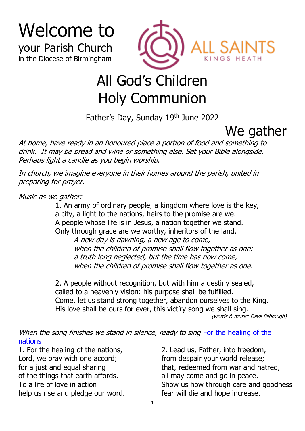Welcome to your Parish Church in the Diocese of Birmingham



# All God's Children Holy Communion

Father's Day, Sunday 19th June 2022

## We gather

At home, have ready in an honoured place a portion of food and something to drink. It may be bread and wine or something else. Set your Bible alongside. Perhaps light a candle as you begin worship.

In church, we imagine everyone in their homes around the parish, united in preparing for prayer.

Music as we gather:

1. An army of ordinary people, a kingdom where love is the key, a city, a light to the nations, heirs to the promise are we. A people whose life is in Jesus, a nation together we stand. Only through grace are we worthy, inheritors of the land.

A new day is dawning, a new age to come, when the children of promise shall flow together as one: a truth long neglected, but the time has now come, when the children of promise shall flow together as one.

2. A people without recognition, but with him a destiny sealed, called to a heavenly vision: his purpose shall be fulfilled. Come, let us stand strong together, abandon ourselves to the King. His love shall be ours for ever, this vict'ry song we shall sing.

(words & music: Dave Bilbrough)

#### When the song finishes we stand in silence, ready to sing For the healing of the [nations](https://soundcloud.com/all-saints-kings-heath/for-the-healing-of-the-nations?)

1. For the healing of the nations, Lord, we pray with one accord; for a just and equal sharing of the things that earth affords. To a life of love in action help us rise and pledge our word. 2. Lead us, Father, into freedom, from despair your world release; that, redeemed from war and hatred, all may come and go in peace. Show us how through care and goodness fear will die and hope increase.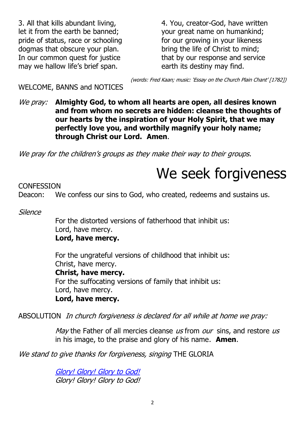3. All that kills abundant living, let it from the earth be banned; pride of status, race or schooling dogmas that obscure your plan. In our common quest for justice may we hallow life's brief span.

4. You, creator-God, have written your great name on humankind; for our growing in your likeness bring the life of Christ to mind; that by our response and service earth its destiny may find.

(words: Fred Kaan; music: 'Essay on the Church Plain Chant' [1782])

### WELCOME, BANNS and NOTICES

We pray: **Almighty God, to whom all hearts are open, all desires known and from whom no secrets are hidden: cleanse the thoughts of our hearts by the inspiration of your Holy Spirit, that we may perfectly love you, and worthily magnify your holy name; through Christ our Lord. Amen**.

We pray for the children's groups as they make their way to their groups.

## We seek forgiveness

#### **CONFESSION**

Deacon: We confess our sins to God, who created, redeems and sustains us.

Silence

For the distorted versions of fatherhood that inhibit us: Lord, have mercy.

**Lord, have mercy.**

For the ungrateful versions of childhood that inhibit us: Christ, have mercy. **Christ, have mercy.** For the suffocating versions of family that inhibit us: Lord, have mercy. **Lord, have mercy.**

ABSOLUTION In church forgiveness is declared for all while at home we pray:

May the Father of all mercies cleanse us from our sins, and restore us in his image, to the praise and glory of his name. **Amen**.

We stand to give thanks for forgiveness, singing THE GLORIA

[Glory! Glory! Glory to God!](http://soundcloud.com/all-saints-kings-heath/gloria-salazar-1?) Glory! Glory! Glory to God!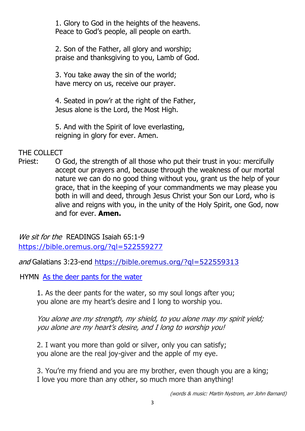1. Glory to God in the heights of the heavens. Peace to God's people, all people on earth.

2. Son of the Father, all glory and worship; praise and thanksgiving to you, Lamb of God.

3. You take away the sin of the world; have mercy on us, receive our prayer.

4. Seated in pow'r at the right of the Father, Jesus alone is the Lord, the Most High.

5. And with the Spirit of love everlasting, reigning in glory for ever. Amen.

THE COLLECT

Priest: O God, the strength of all those who put their trust in you: mercifully accept our prayers and, because through the weakness of our mortal nature we can do no good thing without you, grant us the help of your grace, that in the keeping of your commandments we may please you both in will and deed, through Jesus Christ your Son our Lord, who is alive and reigns with you, in the unity of the Holy Spirit, one God, now and for ever. **Amen.**

We sit for the READINGS Isaiah 65:1-9 <https://bible.oremus.org/?ql=522559277>

and Galatians 3:23-end <https://bible.oremus.org/?ql=522559313>

HYMN [As the deer pants for the water](https://soundcloud.com/all-saints-kings-heath/as-the-deer?)

1. As the deer pants for the water, so my soul longs after you; you alone are my heart's desire and I long to worship you.

You alone are my strength, my shield, to you alone may my spirit yield; you alone are my heart's desire, and I long to worship you!

2. I want you more than gold or silver, only you can satisfy; you alone are the real joy-giver and the apple of my eye.

3. You're my friend and you are my brother, even though you are a king; I love you more than any other, so much more than anything!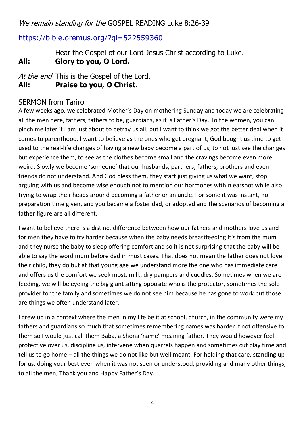We remain standing for the GOSPEL READING Luke 8:26-39

<https://bible.oremus.org/?ql=522559360>

Hear the Gospel of our Lord Jesus Christ according to Luke. **All: Glory to you, O Lord.**

At the end This is the Gospel of the Lord.

## **All: Praise to you, O Christ.**

## SERMON from Tariro

A few weeks ago, we celebrated Mother's Day on mothering Sunday and today we are celebrating all the men here, fathers, fathers to be, guardians, as it is Father's Day. To the women, you can pinch me later if I am just about to betray us all, but I want to think we got the better deal when it comes to parenthood. I want to believe as the ones who get pregnant, God bought us time to get used to the real-life changes of having a new baby become a part of us, to not just see the changes but experience them, to see as the clothes become small and the cravings become even more weird. Slowly we become 'someone' that our husbands, partners, fathers, brothers and even friends do not understand. And God bless them, they start just giving us what we want, stop arguing with us and become wise enough not to mention our hormones within earshot while also trying to wrap their heads around becoming a father or an uncle. For some it was instant, no preparation time given, and you became a foster dad, or adopted and the scenarios of becoming a father figure are all different.

I want to believe there is a distinct difference between how our fathers and mothers love us and for men they have to try harder because when the baby needs breastfeeding it's from the mum and they nurse the baby to sleep offering comfort and so it is not surprising that the baby will be able to say the word mum before dad in most cases. That does not mean the father does not love their child, they do but at that young age we understand more the one who has immediate care and offers us the comfort we seek most, milk, dry pampers and cuddles. Sometimes when we are feeding, we will be eyeing the big giant sitting opposite who is the protector, sometimes the sole provider for the family and sometimes we do not see him because he has gone to work but those are things we often understand later.

I grew up in a context where the men in my life be it at school, church, in the community were my fathers and guardians so much that sometimes remembering names was harder if not offensive to them so I would just call them Baba, a Shona 'name' meaning father. They would however feel protective over us, discipline us, intervene when quarrels happen and sometimes cut play time and tell us to go home – all the things we do not like but well meant. For holding that care, standing up for us, doing your best even when it was not seen or understood, providing and many other things, to all the men, Thank you and Happy Father's Day.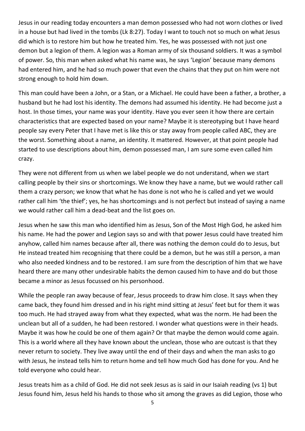Jesus in our reading today encounters a man demon possessed who had not worn clothes or lived in a house but had lived in the tombs (Lk 8:27). Today I want to touch not so much on what Jesus did which is to restore him but how he treated him. Yes, he was possessed with not just one demon but a legion of them. A legion was a Roman army of six thousand soldiers. It was a symbol of power. So, this man when asked what his name was, he says 'Legion' because many demons had entered him, and he had so much power that even the chains that they put on him were not strong enough to hold him down.

This man could have been a John, or a Stan, or a Michael. He could have been a father, a brother, a husband but he had lost his identity. The demons had assumed his identity. He had become just a host. In those times, your name was your identity. Have you ever seen it how there are certain characteristics that are expected based on your name? Maybe it is stereotyping but I have heard people say every Peter that I have met is like this or stay away from people called ABC, they are the worst. Something about a name, an identity. It mattered. However, at that point people had started to use descriptions about him, demon possessed man, I am sure some even called him crazy.

They were not different from us when we label people we do not understand, when we start calling people by their sins or shortcomings. We know they have a name, but we would rather call them a crazy person; we know that what he has done is not who he is called and yet we would rather call him 'the thief'; yes, he has shortcomings and is not perfect but instead of saying a name we would rather call him a dead-beat and the list goes on.

Jesus when he saw this man who identified him as Jesus, Son of the Most High God, he asked him his name. He had the power and Legion says so and with that power Jesus could have treated him anyhow, called him names because after all, there was nothing the demon could do to Jesus, but He instead treated him recognising that there could be a demon, but he was still a person, a man who also needed kindness and to be restored. I am sure from the description of him that we have heard there are many other undesirable habits the demon caused him to have and do but those became a minor as Jesus focussed on his personhood.

While the people ran away because of fear, Jesus proceeds to draw him close. It says when they came back, they found him dressed and in his right mind sitting at Jesus' feet but for them it was too much. He had strayed away from what they expected, what was the norm. He had been the unclean but all of a sudden, he had been restored. I wonder what questions were in their heads. Maybe it was how he could be one of them again? Or that maybe the demon would come again. This is a world where all they have known about the unclean, those who are outcast is that they never return to society. They live away until the end of their days and when the man asks to go with Jesus, he instead tells him to return home and tell how much God has done for you. And he told everyone who could hear.

Jesus treats him as a child of God. He did not seek Jesus as is said in our Isaiah reading (vs 1) but Jesus found him, Jesus held his hands to those who sit among the graves as did Legion, those who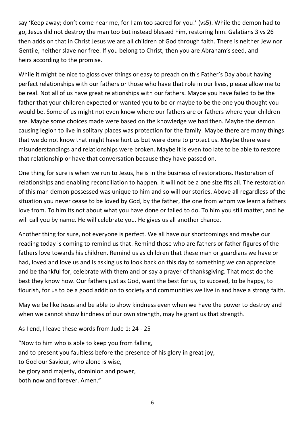say 'Keep away; don't come near me, for I am too sacred for you!' (vs5). While the demon had to go, Jesus did not destroy the man too but instead blessed him, restoring him. Galatians 3 vs 26 then adds on that in Christ Jesus we are all children of God through faith. There is neither Jew nor Gentile, neither slave nor free. If you belong to Christ, then you are Abraham's seed, and heirs according to the promise.

While it might be nice to gloss over things or easy to preach on this Father's Day about having perfect relationships with our fathers or those who have that role in our lives, please allow me to be real. Not all of us have great relationships with our fathers. Maybe you have failed to be the father that your children expected or wanted you to be or maybe to be the one you thought you would be. Some of us might not even know where our fathers are or fathers where your children are. Maybe some choices made were based on the knowledge we had then. Maybe the demon causing legion to live in solitary places was protection for the family. Maybe there are many things that we do not know that might have hurt us but were done to protect us. Maybe there were misunderstandings and relationships were broken. Maybe it is even too late to be able to restore that relationship or have that conversation because they have passed on.

One thing for sure is when we run to Jesus, he is in the business of restorations. Restoration of relationships and enabling reconciliation to happen. It will not be a one size fits all. The restoration of this man demon possessed was unique to him and so will our stories. Above all regardless of the situation you never cease to be loved by God, by the father, the one from whom we learn a fathers love from. To him its not about what you have done or failed to do. To him you still matter, and he will call you by name. He will celebrate you. He gives us all another chance.

Another thing for sure, not everyone is perfect. We all have our shortcomings and maybe our reading today is coming to remind us that. Remind those who are fathers or father figures of the fathers love towards his children. Remind us as children that these man or guardians we have or had, loved and love us and is asking us to look back on this day to something we can appreciate and be thankful for, celebrate with them and or say a prayer of thanksgiving. That most do the best they know how. Our fathers just as God, want the best for us, to succeed, to be happy, to flourish, for us to be a good addition to society and communities we live in and have a strong faith.

May we be like Jesus and be able to show kindness even when we have the power to destroy and when we cannot show kindness of our own strength, may he grant us that strength.

As I end, I leave these words from Jude 1: 24 - 25

"Now to him who is able to keep you from falling, and to present you faultless before the presence of his glory in great joy, to God our Saviour, who alone is wise, be glory and majesty, dominion and power, both now and forever. Amen."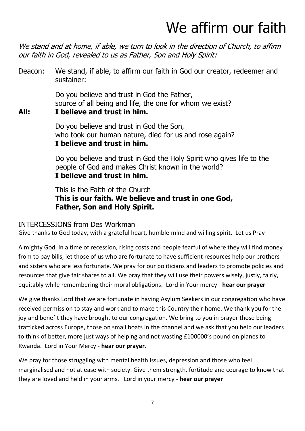# We affirm our faith

We stand and at home, if able, we turn to look in the direction of Church, to affirm our faith in God, revealed to us as Father, Son and Holy Spirit:

Deacon: We stand, if able, to affirm our faith in God our creator, redeemer and sustainer:

> Do you believe and trust in God the Father, source of all being and life, the one for whom we exist?

#### **All: I believe and trust in him.**

Do you believe and trust in God the Son, who took our human nature, died for us and rose again? **I believe and trust in him.**

Do you believe and trust in God the Holy Spirit who gives life to the people of God and makes Christ known in the world? **I believe and trust in him.**

This is the Faith of the Church **This is our faith. We believe and trust in one God, Father, Son and Holy Spirit.** 

#### INTERCESSIONS from Des Workman

Give thanks to God today, with a grateful heart, humble mind and willing spirit. Let us Pray

Almighty God, in a time of recession, rising costs and people fearful of where they will find money from to pay bills, let those of us who are fortunate to have sufficient resources help our brothers and sisters who are less fortunate. We pray for our politicians and leaders to promote policies and resources that give fair shares to all. We pray that they will use their powers wisely, justly, fairly, equitably while remembering their moral obligations. Lord in Your mercy - **hear our prayer**

We give thanks Lord that we are fortunate in having Asylum Seekers in our congregation who have received permission to stay and work and to make this Country their home. We thank you for the joy and benefit they have brought to our congregation. We bring to you in prayer those being trafficked across Europe, those on small boats in the channel and we ask that you help our leaders to think of better, more just ways of helping and not wasting £100000's pound on planes to Rwanda. Lord in Your Mercy - **hear our prayer**.

We pray for those struggling with mental health issues, depression and those who feel marginalised and not at ease with society. Give them strength, fortitude and courage to know that they are loved and held in your arms. Lord in your mercy - **hear our prayer**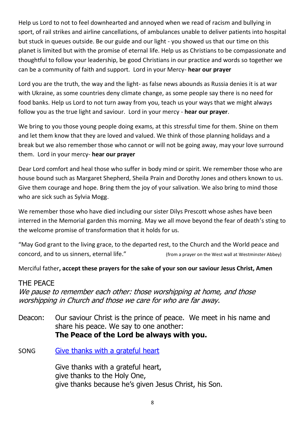Help us Lord to not to feel downhearted and annoyed when we read of racism and bullying in sport, of rail strikes and airline cancellations, of ambulances unable to deliver patients into hospital but stuck in queues outside. Be our guide and our light - you showed us that our time on this planet is limited but with the promise of eternal life. Help us as Christians to be compassionate and thoughtful to follow your leadership, be good Christians in our practice and words so together we can be a community of faith and support. Lord in your Mercy- **hear our prayer**

Lord you are the truth, the way and the light- as false news abounds as Russia denies it is at war with Ukraine, as some countries deny climate change, as some people say there is no need for food banks. Help us Lord to not turn away from you, teach us your ways that we might always follow you as the true light and saviour. Lord in your mercy - **hear our prayer**.

We bring to you those young people doing exams, at this stressful time for them. Shine on them and let them know that they are loved and valued. We think of those planning holidays and a break but we also remember those who cannot or will not be going away, may your love surround them. Lord in your mercy- **hear our prayer** 

Dear Lord comfort and heal those who suffer in body mind or spirit. We remember those who are house bound such as Margaret Shepherd, Sheila Prain and Dorothy Jones and others known to us. Give them courage and hope. Bring them the joy of your salivation. We also bring to mind those who are sick such as Sylvia Mogg.

We remember those who have died including our sister Dilys Prescott whose ashes have been interred in the Memorial garden this morning. May we all move beyond the fear of death's sting to the welcome promise of transformation that it holds for us.

"May God grant to the living grace, to the departed rest, to the Church and the World peace and concord, and to us sinners, eternal life." (from a prayer on the West wall at Westminster Abbey)

Merciful father**, accept these prayers for the sake of your son our saviour Jesus Christ, Amen** 

#### THE PEACE

We pause to remember each other: those worshipping at home, and those worshipping in Church and those we care for who are far away.

- Deacon: Our saviour Christ is the prince of peace. We meet in his name and share his peace. We say to one another: **The Peace of the Lord be always with you.**
- SONG [Give thanks with a grateful heart](https://soundcloud.com/all-saints-kings-heath/give-thanks-with-a-grateful?)

Give thanks with a grateful heart, give thanks to the Holy One, give thanks because he's given Jesus Christ, his Son.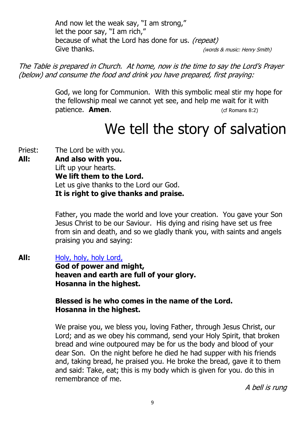And now let the weak say, "I am strong," let the poor say, "I am rich," because of what the Lord has done for us. (repeat) Give thanks.

The Table is prepared in Church. At home, now is the time to say the Lord's Prayer (below) and consume the food and drink you have prepared, first praying:

> God, we long for Communion. With this symbolic meal stir my hope for the fellowship meal we cannot yet see, and help me wait for it with **patience. Amen.** (cf Romans 8:2)

## We tell the story of salvation

Priest: The Lord be with you.

**All: And also with you.** Lift up your hearts. **We lift them to the Lord.** Let us give thanks to the Lord our God. **It is right to give thanks and praise.**

> Father, you made the world and love your creation. You gave your Son Jesus Christ to be our Saviour. His dying and rising have set us free from sin and death, and so we gladly thank you, with saints and angels praising you and saying:

**All:** [Holy, holy, holy Lord,](https://soundcloud.com/all-saints-kings-heath/sanctus-and-benedictus-murray?) **God of power and might, heaven and earth are full of your glory. Hosanna in the highest.**

#### **Blessed is he who comes in the name of the Lord. Hosanna in the highest.**

We praise you, we bless you, loving Father, through Jesus Christ, our Lord; and as we obey his command, send your Holy Spirit, that broken bread and wine outpoured may be for us the body and blood of your dear Son. On the night before he died he had supper with his friends and, taking bread, he praised you. He broke the bread, gave it to them and said: Take, eat; this is my body which is given for you. do this in remembrance of me.

A bell is rung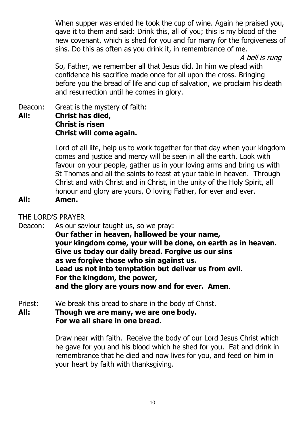When supper was ended he took the cup of wine. Again he praised you, gave it to them and said: Drink this, all of you; this is my blood of the new covenant, which is shed for you and for many for the forgiveness of sins. Do this as often as you drink it, in remembrance of me.

A bell is rung

So, Father, we remember all that Jesus did. In him we plead with confidence his sacrifice made once for all upon the cross. Bringing before you the bread of life and cup of salvation, we proclaim his death and resurrection until he comes in glory.

### Deacon: Great is the mystery of faith: **All: Christ has died, Christ is risen Christ will come again.**

Lord of all life, help us to work together for that day when your kingdom comes and justice and mercy will be seen in all the earth. Look with favour on your people, gather us in your loving arms and bring us with St Thomas and all the saints to feast at your table in heaven. Through Christ and with Christ and in Christ, in the unity of the Holy Spirit, all honour and glory are yours, O loving Father, for ever and ever.

## **All: Amen.**

## THE LORD'S PRAYER

Deacon: As our saviour taught us, so we pray: **Our father in heaven, hallowed be your name, your kingdom come, your will be done, on earth as in heaven. Give us today our daily bread. Forgive us our sins as we forgive those who sin against us. Lead us not into temptation but deliver us from evil. For the kingdom, the power, and the glory are yours now and for ever. Amen.**

Priest: We break this bread to share in the body of Christ.

**All: Though we are many, we are one body.** 

**For we all share in one bread.**

Draw near with faith. Receive the body of our Lord Jesus Christ which he gave for you and his blood which he shed for you. Eat and drink in remembrance that he died and now lives for you, and feed on him in your heart by faith with thanksgiving.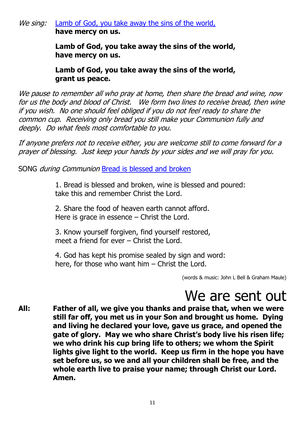We sing: [Lamb of God, you take away the sins of the world,](http://soundcloud.com/all-saints-kings-heath/agnus-dei-murray?) **have mercy on us.**

> **Lamb of God, you take away the sins of the world, have mercy on us.**

> **Lamb of God, you take away the sins of the world, grant us peace.**

We pause to remember all who pray at home, then share the bread and wine, now for us the body and blood of Christ. We form two lines to receive bread, then wine if you wish. No one should feel obliged if you do not feel ready to share the common cup. Receiving only bread you still make your Communion fully and deeply. Do what feels most comfortable to you.

If anyone prefers not to receive either, you are welcome still to come forward for a prayer of blessing. Just keep your hands by your sides and we will pray for you.

SONG during Communion [Bread is blessed and broken](https://soundcloud.com/all-saints-kings-heath/bread-is-blessed-and-broken?)

1. Bread is blessed and broken, wine is blessed and poured: take this and remember Christ the Lord.

2. Share the food of heaven earth cannot afford. Here is grace in essence – Christ the Lord.

3. Know yourself forgiven, find yourself restored, meet a friend for ever – Christ the Lord.

4. God has kept his promise sealed by sign and word: here, for those who want him – Christ the Lord.

(words & music: John L Bell & Graham Maule)

## We are sent out

**All: Father of all, we give you thanks and praise that, when we were still far off, you met us in your Son and brought us home. Dying and living he declared your love, gave us grace, and opened the gate of glory. May we who share Christ's body live his risen life; we who drink his cup bring life to others; we whom the Spirit lights give light to the world. Keep us firm in the hope you have set before us, so we and all your children shall be free, and the whole earth live to praise your name; through Christ our Lord. Amen.**